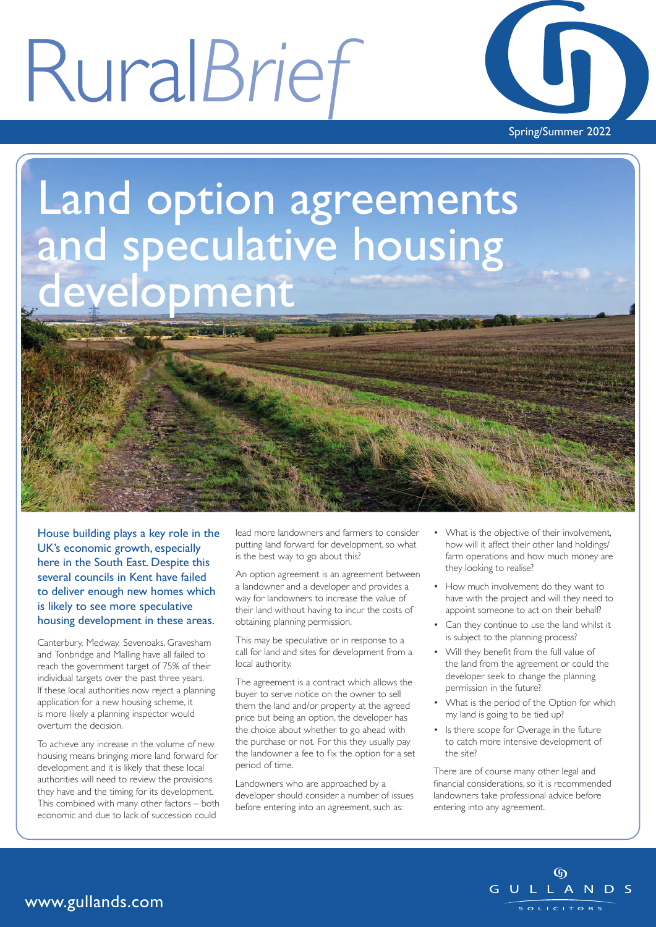# Rural*Brief*



### Land option agreements and speculative housing evelopment

House building plays a key role in the UK's economic growth, especially here in the South East. Despite this several councils in Kent have failed to deliver enough new homes which is likely to see more speculative housing development in these areas.

Canterbury, Medway, Sevenoaks, Gravesham and Tonbridge and Malling have all failed to reach the government target of 75% of their individual targets over the past three years. If these local authorities now reject a planning application for a new housing scheme, it is more likely a planning inspector would overturn the decision.

To achieve any increase in the volume of new housing means bringing more land forward for development and it is likely that these local authorities will need to review the provisions they have and the timing for its development. This combined with many other factors – both economic and due to lack of succession could

lead more landowners and farmers to consider putting land forward for development, so what is the best way to go about this?

An option agreement is an agreement between a landowner and a developer and provides a way for landowners to increase the value of their land without having to incur the costs of obtaining planning permission.

This may be speculative or in response to a call for land and sites for development from a local authority.

The agreement is a contract which allows the buyer to serve notice on the owner to sell them the land and/or property at the agreed price but being an option, the developer has the choice about whether to go ahead with the purchase or not. For this they usually pay the landowner a fee to fix the option for a set period of time.

Landowners who are approached by a developer should consider a number of issues before entering into an agreement, such as:

- What is the objective of their involvement, how will it affect their other land holdings/ farm operations and how much money are they looking to realise?
- How much involvement do they want to have with the project and will they need to appoint someone to act on their behalf?
- Can they continue to use the land whilst it is subject to the planning process?
- Will they benefit from the full value of the land from the agreement or could the developer seek to change the planning permission in the future?
- What is the period of the Option for which my land is going to be tied up?
- Is there scope for Overage in the future to catch more intensive development of the site?

There are of course many other legal and financial considerations, so it is recommended landowners take professional advice before entering into any agreement.

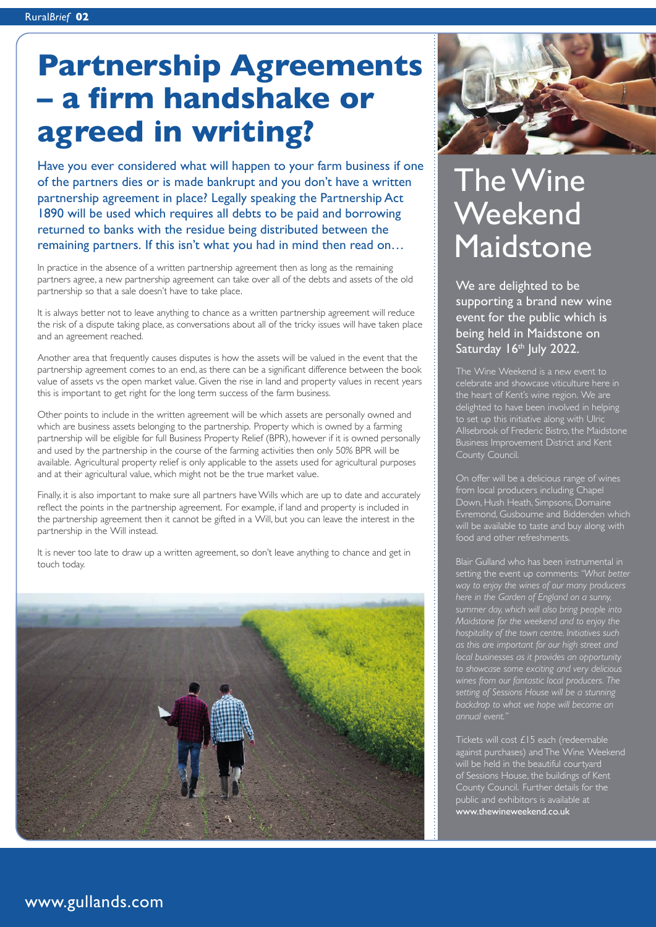### **Partnership Agreements – a firm handshake or agreed in writing?**

Have you ever considered what will happen to your farm business if one of the partners dies or is made bankrupt and you don't have a written partnership agreement in place? Legally speaking the Partnership Act 1890 will be used which requires all debts to be paid and borrowing returned to banks with the residue being distributed between the remaining partners. If this isn't what you had in mind then read on…

In practice in the absence of a written partnership agreement then as long as the remaining partners agree, a new partnership agreement can take over all of the debts and assets of the old partnership so that a sale doesn't have to take place.

It is always better not to leave anything to chance as a written partnership agreement will reduce the risk of a dispute taking place, as conversations about all of the tricky issues will have taken place and an agreement reached.

Another area that frequently causes disputes is how the assets will be valued in the event that the partnership agreement comes to an end, as there can be a significant difference between the book value of assets vs the open market value. Given the rise in land and property values in recent years this is important to get right for the long term success of the farm business.

Other points to include in the written agreement will be which assets are personally owned and which are business assets belonging to the partnership. Property which is owned by a farming partnership will be eligible for full Business Property Relief (BPR), however if it is owned personally and used by the partnership in the course of the farming activities then only 50% BPR will be available. Agricultural property relief is only applicable to the assets used for agricultural purposes and at their agricultural value, which might not be the true market value.

Finally, it is also important to make sure all partners have Wills which are up to date and accurately reflect the points in the partnership agreement. For example, if land and property is included in the partnership agreement then it cannot be gifted in a Will, but you can leave the interest in the partnership in the Will instead.

It is never too late to draw up a written agreement, so don't leave anything to chance and get in touch today.





### The Wine **Weekend** Maidstone

We are delighted to be supporting a brand new wine event for the public which is being held in Maidstone on Saturday 16<sup>th</sup> July 2022.

The Wine Weekend is a new event to celebrate and showcase viticulture here in the heart of Kent's wine region. We are delighted to have been involved in helping to set up this initiative along with Ulric Allsebrook of Frederic Bistro, the Maidstone Business Improvement District and Kent County Council.

On offer will be a delicious range of wines from local producers including Chapel will be available to taste and buy along with food and other refreshments.

setting the event up comments: *"What better way to enjoy the wines of our many producers here in the Garden of England on a sunny, summer day, which will also bring people into Maidstone for the weekend and to enjoy the hospitality of the town centre. Initiatives such as this are important for our high street and local businesses as it provides an opportunity to showcase some exciting and very delicious setting of Sessions House will be a stunning backdrop to what we hope will become an* 

against purchases) and The Wine Weekend will be held in the beautiful courtyard of Sessions House, the buildings of Kent County Council. Further details for the public and exhibitors is available at www.thewineweekend.co.uk

#### www.gullands.com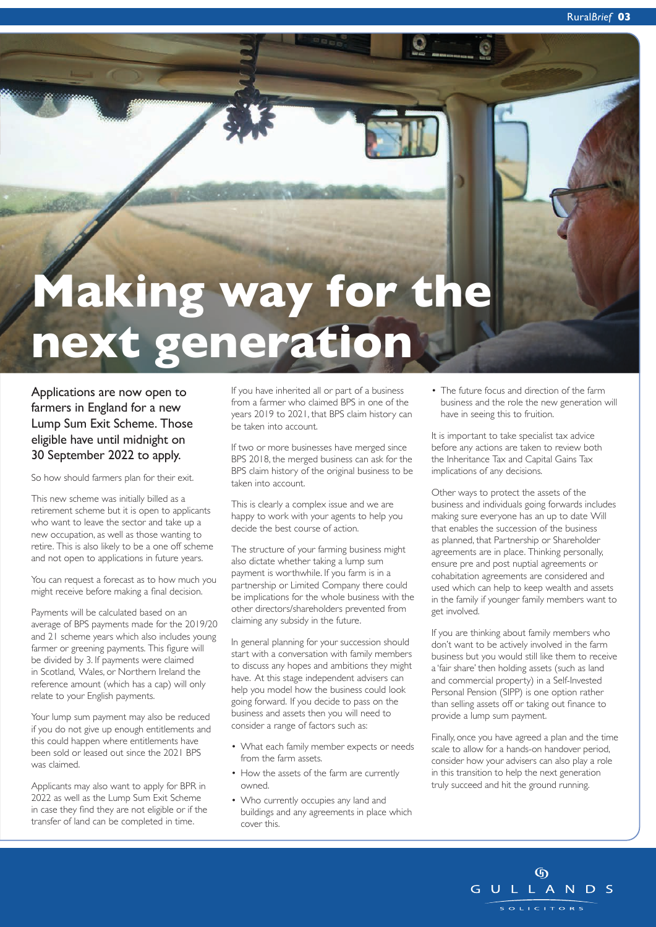# **Making way for the next generation**

Applications are now open to farmers in England for a new Lump Sum Exit Scheme. Those eligible have until midnight on 30 September 2022 to apply.

So how should farmers plan for their exit.

This new scheme was initially billed as a retirement scheme but it is open to applicants who want to leave the sector and take up a new occupation, as well as those wanting to retire. This is also likely to be a one off scheme and not open to applications in future years.

You can request a forecast as to how much you might receive before making a final decision.

Payments will be calculated based on an average of BPS payments made for the 2019/20 and 21 scheme years which also includes young farmer or greening payments. This figure will be divided by 3. If payments were claimed in Scotland, Wales, or Northern Ireland the reference amount (which has a cap) will only relate to your English payments.

Your lump sum payment may also be reduced if you do not give up enough entitlements and this could happen where entitlements have been sold or leased out since the 2021 BPS was claimed.

Applicants may also want to apply for BPR in 2022 as well as the Lump Sum Exit Scheme in case they find they are not eligible or if the transfer of land can be completed in time.

If you have inherited all or part of a business from a farmer who claimed BPS in one of the years 2019 to 2021, that BPS claim history can be taken into account.

If two or more businesses have merged since BPS 2018, the merged business can ask for the BPS claim history of the original business to be taken into account.

This is clearly a complex issue and we are happy to work with your agents to help you decide the best course of action.

The structure of your farming business might also dictate whether taking a lump sum payment is worthwhile. If you farm is in a partnership or Limited Company there could be implications for the whole business with the other directors/shareholders prevented from claiming any subsidy in the future.

In general planning for your succession should start with a conversation with family members to discuss any hopes and ambitions they might have. At this stage independent advisers can help you model how the business could look going forward. If you decide to pass on the business and assets then you will need to consider a range of factors such as:

- What each family member expects or needs from the farm assets.
- How the assets of the farm are currently owned.
- Who currently occupies any land and buildings and any agreements in place which cover this.

• The future focus and direction of the farm business and the role the new generation will have in seeing this to fruition.

It is important to take specialist tax advice before any actions are taken to review both the Inheritance Tax and Capital Gains Tax implications of any decisions.

Other ways to protect the assets of the business and individuals going forwards includes making sure everyone has an up to date Will that enables the succession of the business as planned, that Partnership or Shareholder agreements are in place. Thinking personally, ensure pre and post nuptial agreements or cohabitation agreements are considered and used which can help to keep wealth and assets in the family if younger family members want to get involved.

If you are thinking about family members who don't want to be actively involved in the farm business but you would still like them to receive a 'fair share' then holding assets (such as land and commercial property) in a Self-Invested Personal Pension (SIPP) is one option rather than selling assets off or taking out finance to provide a lump sum payment.

Finally, once you have agreed a plan and the time scale to allow for a hands-on handover period, consider how your advisers can also play a role in this transition to help the next generation truly succeed and hit the ground running.